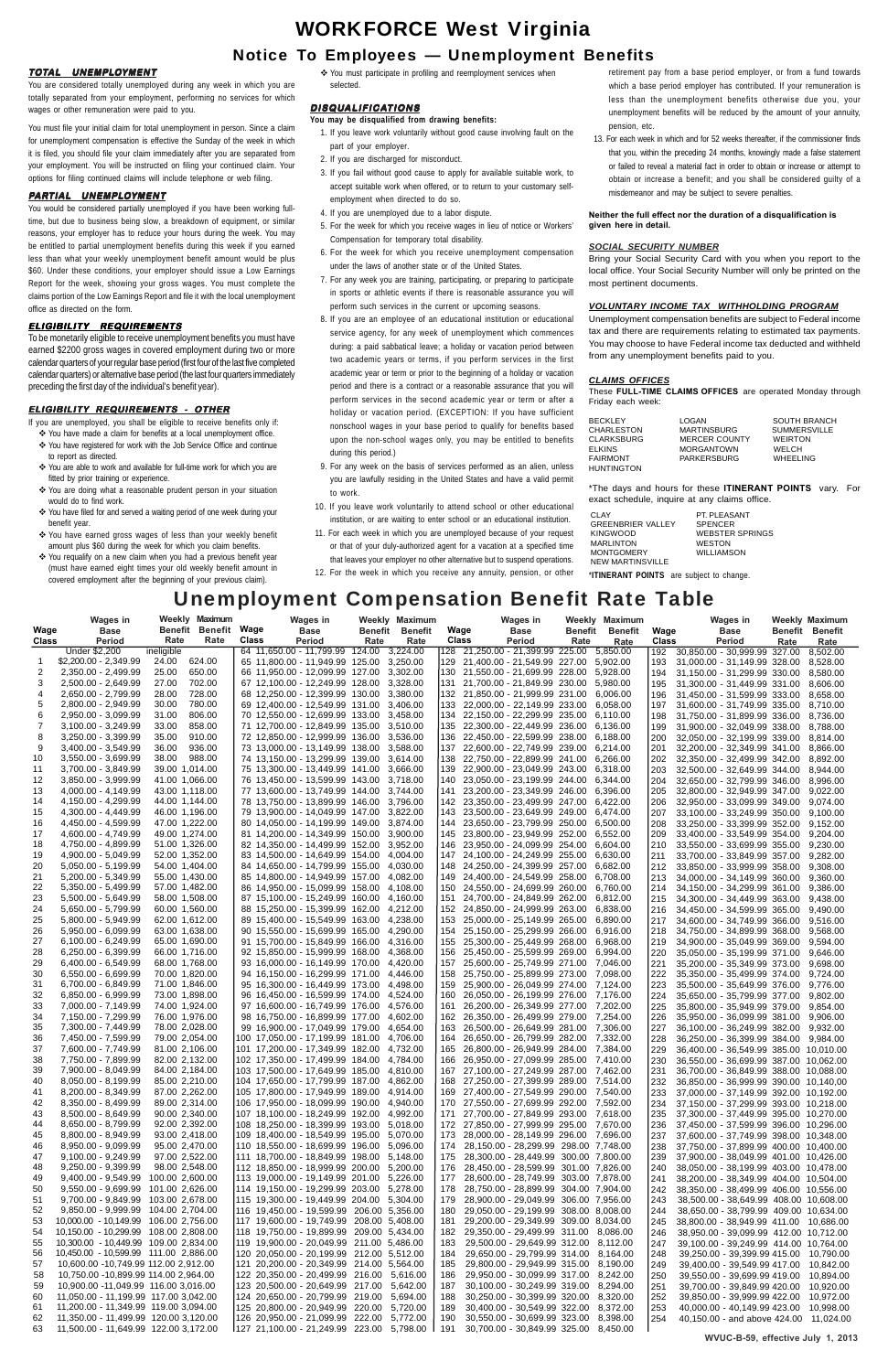# WORKFORCE West Virginia

## Notice To Employees — Unemployment Benefits

## **TOTAL UNEMPLOYMENT**

You are considered totally unemployed during any week in which you are totally separated from your employment, performing no services for which wages or other remuneration were paid to you.

You must file your initial claim for total unemployment in person. Since a claim for unemployment compensation is effective the Sunday of the week in which it is filed, you should file your claim immediately after you are separated from your employment. You will be instructed on filing your continued claim. Your options for filing continued claims will include telephone or web filing.

You would be considered partially unemployed if you have been working fulltime, but due to business being slow, a breakdown of equipment, or similar reasons, your employer has to reduce your hours during the week. You may be entitled to partial unemployment benefits during this week if you earned less than what your weekly unemployment benefit amount would be plus \$60. Under these conditions, your employer should issue a Low Earnings Report for the week, showing your gross wages. You must complete the claims portion of the Low Earnings Report and file it with the local unemployment office as directed on the form.

## **PARTIAL UNEMPLOYMENT**

### **ELIGIBILITY REQUIREMENTS**

To be monetarily eligible to receive unemployment benefits you must have earned \$2200 gross wages in covered employment during two or more calendar quarters of your regular base period (first four of the last five completed calendar quarters) or alternative base period (the last four quarters immediately preceding the first day of the individual's benefit year).

## **ELIGIBILITY REQUIREMENTS - OTHER**

If you are unemployed, you shall be eligible to receive benefits only if:

- You have made a claim for benefits at a local unemployment office. You have registered for work with the Job Service Office and continue to report as directed.
- You are able to work and available for full-time work for which you are fitted by prior training or experience.
- You are doing what a reasonable prudent person in your situation would do to find work.
- You have filed for and served a waiting period of one week during your benefit year.
- You have earned gross wages of less than your weekly benefit amount plus \$60 during the week for which you claim benefits.
- You requalify on a new claim when you had a previous benefit year (must have earned eight times your old weekly benefit amount in covered employment after the beginning of your previous claim).

 You must participate in profiling and reemployment services when selected.

## **DISQUALIFICATIONS**

## **You may be disqualified from drawing benefits:**

- 1. If you leave work voluntarily without good cause involving fault on the part of your employer.
- 2. If you are discharged for misconduct.
- 3. If you fail without good cause to apply for available suitable work, to accept suitable work when offered, or to return to your customary selfemployment when directed to do so.
- 4. If you are unemployed due to a labor dispute.
- 5. For the week for which you receive wages in lieu of notice or Workers' Compensation for temporary total disability.
- 6. For the week for which you receive unemployment compensation under the laws of another state or of the United States.
- 7. For any week you are training, participating, or preparing to participate in sports or athletic events if there is reasonable assurance you will perform such services in the current or upcoming seasons.
- 8. If you are an employee of an educational institution or educational service agency, for any week of unemployment which commences during: a paid sabbatical leave; a holiday or vacation period between two academic years or terms, if you perform services in the first academic year or term or prior to the beginning of a holiday or vacation period and there is a contract or a reasonable assurance that you will perform services in the second academic year or term or after a holiday or vacation period. (EXCEPTION: If you have sufficient nonschool wages in your base period to qualify for benefits based upon the non-school wages only, you may be entitled to benefits during this period.)
- 9. For any week on the basis of services performed as an alien, unless you are lawfully residing in the United States and have a valid permit to work.
- 10. If you leave work voluntarily to attend school or other educational institution, or are waiting to enter school or an educational institution.
- 11. For each week in which you are unemployed because of your request or that of your duly-authorized agent for a vacation at a specified time that leaves your employer no other alternative but to suspend operations.
- 12. For the week in which you receive any annuity, pension, or other

retirement pay from a base period employer, or from a fund towards which a base period employer has contributed. If your remuneration is less than the unemployment benefits otherwise due you, your unemployment benefits will be reduced by the amount of your annuity, pension, etc.

13. For each week in which and for 52 weeks thereafter, if the commissioner finds that you, within the preceding 24 months, knowingly made a false statement or failed to reveal a material fact in order to obtain or increase or attempt to obtain or increase a benefit; and you shall be considered guilty of a misdemeanor and may be subject to severe penalties.

## **Neither the full effect nor the duration of a disqualification is given here in detail.**

## *SOCIAL SECURITY NUMBER*

Bring your Social Security Card with you when you report to the local office. Your Social Security Number will only be printed on the most pertinent documents.

### *VOLUNTARY INCOME TAX WITHHOLDING PROGRAM*

Unemployment compensation benefits are subject to Federal income tax and there are requirements relating to estimated tax payments. You may choose to have Federal income tax deducted and withheld from any unemployment benefits paid to you.

### *CLAIMS OFFICES*

These **FULL-TIME CLAIMS OFFICES** are operated Monday through Friday each week:

| BECKLEY       | LOGAN                | <b>SOUTH BRANCH</b> |
|---------------|----------------------|---------------------|
| CHARLESTON    | <b>MARTINSBURG</b>   | <b>SUMMERSVILLE</b> |
| CLARKSBURG    | <b>MERCER COUNTY</b> | <b>WEIRTON</b>      |
| <b>ELKINS</b> | <b>MORGANTOWN</b>    | WELCH               |
| FAIRMONT      | PARKERSBURG          | WHEELING            |
| HUNTINGTON    |                      |                     |
|               |                      |                     |

\*The days and hours for these **ITINERANT POINTS** vary. For exact schedule, inquire at any claims office.

\***ITINERANT POINTS** are subject to change.

|          | <b>Wages in</b>                                                              | Weekly Maximum                   | <b>Wages in</b>                                                                        | Weekly Maximum         |          |            | Wages in                                                                               |         | Weekly Maximum |            | <b>Wages in</b>                                                                      |      | Weekly Maximum         |
|----------|------------------------------------------------------------------------------|----------------------------------|----------------------------------------------------------------------------------------|------------------------|----------|------------|----------------------------------------------------------------------------------------|---------|----------------|------------|--------------------------------------------------------------------------------------|------|------------------------|
| Wage     | <b>Base</b>                                                                  | Benefit Benefit Wage             | <b>Base</b>                                                                            | <b>Benefit Benefit</b> |          | Wage       | <b>Base</b>                                                                            | Benefit | Benefit        | Wage       | Base                                                                                 |      | <b>Benefit Benefit</b> |
| Class    | Period                                                                       | Rate<br>Rate                     | Class<br><b>Period</b>                                                                 | Rate                   | Rate     | Class      | Period                                                                                 | Rate    | Rate           | Class      | Period                                                                               | Rate | Rate                   |
|          | Under \$2,200<br>\$2,200.00 - 2,349.99                                       | ineligible<br>624.00<br>24.00    | 64 11,650.00 - 11,799.99 124.00<br>65 11,800.00 - 11,949.99 125.00 3,250.00            |                        | 3,224.00 |            | 129 21,400.00 - 21,549.99 227.00 5,902.00                                              |         |                | 192        | 30,850.00 - 30,999.99 327.00                                                         |      | 8.502.00               |
|          | 2,350.00 - 2,499.99                                                          | 650.00<br>25.00                  | 66 11,950.00 - 12,099.99 127.00 3,302.00                                               |                        |          |            | 130 21,550.00 - 21,699.99 228.00 5,928.00                                              |         |                | 193<br>194 | 31,000.00 - 31,149.99 328.00 8,528.00<br>31,150.00 - 31,299.99 330.00 8,580.00       |      |                        |
| З        | 2,500.00 - 2,649.99                                                          | 27.00<br>702.00                  | 67 12,100.00 - 12,249.99 128.00 3,328.00                                               |                        |          | 131        | 21,700.00 - 21,849.99 230.00 5,980.00                                                  |         |                | 195        | 31,300.00 - 31,449.99 331.00 8,606.00                                                |      |                        |
| 4        | 2,650.00 - 2,799.99                                                          | 728.00<br>28.00                  | 68 12,250.00 - 12,399.99 130.00 3,380.00                                               |                        |          |            | 132 21,850.00 - 21,999.99 231.00 6,006.00                                              |         |                | 196        | 31,450.00 - 31,599.99 333.00 8,658.00                                                |      |                        |
|          | 2,800.00 - 2,949.99                                                          | 780.00<br>30.00                  | 69 12,400.00 - 12,549.99 131.00 3,406.00                                               |                        |          | 133        | 22,000.00 - 22,149.99 233.00 6,058.00                                                  |         |                | 197        | 31,600.00 - 31,749.99 335.00 8,710.00                                                |      |                        |
| 6        | 2,950.00 - 3,099.99                                                          | 31.00<br>806.00                  | 70 12,550.00 - 12,699.99 133.00 3,458.00                                               |                        |          |            | 134 22,150.00 - 22,299.99 235.00 6,110.00                                              |         |                | 198        | 31,750.00 - 31,899.99 336.00 8,736.00                                                |      |                        |
|          | 3,100.00 - 3,249.99                                                          | 858.00<br>33.00                  | 71 12,700.00 - 12,849.99 135.00 3,510.00                                               |                        |          |            | 135 22,300.00 - 22,449.99 236.00 6,136.00                                              |         |                | 199        | 31,900.00 - 32,049.99 338.00 8,788.00                                                |      |                        |
| 8        | 3,250.00 - 3,399.99                                                          | 35.00<br>910.00                  | 72 12,850.00 - 12,999.99 136.00 3,536.00                                               |                        |          | 136.       | 22,450.00 - 22,599.99 238.00 6,188.00                                                  |         |                | 200        | 32,050.00 - 32,199.99 339.00 8,814.00                                                |      |                        |
| 9        | 3,400.00 - 3,549.99                                                          | 936.00<br>36.00                  | 73 13,000.00 - 13,149.99 138.00 3,588.00                                               |                        |          |            | 137 22,600.00 - 22,749.99 239.00 6,214.00                                              |         |                | 201        | 32,200.00 - 32,349.99 341.00 8,866.00                                                |      |                        |
| 10       | 3,550.00 - 3,699.99                                                          | 38.00<br>988.00                  | 74 13,150.00 - 13,299.99 139.00 3,614.00                                               |                        |          | 138        | 22,750.00 - 22,899.99 241.00 6,266.00                                                  |         |                | 202        | 32,350.00 - 32,499.99 342.00 8,892.00                                                |      |                        |
| 11       | 3,700.00 - 3,849.99                                                          | 39.00 1,014.00                   | 75 13,300.00 - 13,449.99 141.00 3,666.00                                               |                        |          |            | 139 22,900.00 - 23,049.99 243.00 6,318.00                                              |         |                | 203        | 32,500.00 - 32,649.99 344.00 8,944.00                                                |      |                        |
| 12<br>13 | 3,850.00 - 3,999.99<br>4,000.00 - 4,149.99                                   | 41.00 1,066.00<br>43.00 1,118.00 | 76 13,450.00 - 13,599.99 143.00 3,718.00<br>77 13,600.00 - 13,749.99 144.00 3,744.00   |                        |          | 141        | 140 23,050.00 - 23,199.99 244.00 6,344.00<br>23,200.00 - 23,349.99 246.00 6,396.00     |         |                | 204        | 32,650.00 - 32,799.99 346.00 8,996.00                                                |      |                        |
| 14       | 4,150.00 - 4,299.99                                                          | 44.00 1,144.00                   | 78 13,750.00 - 13,899.99 146.00 3,796.00                                               |                        |          |            | 142 23,350.00 - 23,499.99 247.00 6,422.00                                              |         |                | 205<br>206 | 32,800.00 - 32,949.99 347.00 9,022.00<br>32,950.00 - 33,099.99 349.00 9,074.00       |      |                        |
| 15       | 4,300.00 - 4,449.99                                                          | 46.00 1,196.00                   | 79 13,900.00 - 14,049.99 147.00 3,822.00                                               |                        |          | 143        | 23,500.00 - 23,649.99 249.00 6,474.00                                                  |         |                | 207        | 33,100.00 - 33,249.99 350.00 9,100.00                                                |      |                        |
| 16       | 4,450.00 - 4,599.99                                                          | 47.00 1,222.00                   | 80 14,050.00 - 14,199.99 149.00 3,874.00                                               |                        |          | 144        | 23,650.00 - 23,799.99 250.00 6,500.00                                                  |         |                | 208        | 33,250.00 - 33,399.99 352.00 9,152.00                                                |      |                        |
| 17       | 4,600.00 - 4,749.99                                                          | 49.00 1,274.00                   | 81 14,200.00 - 14,349.99 150.00 3,900.00                                               |                        |          |            | 145 23,800.00 - 23,949.99 252.00 6,552.00                                              |         |                | 209        | 33,400.00 - 33,549.99 354.00 9,204.00                                                |      |                        |
| 18       | 4,750.00 - 4,899.99                                                          | 51.00 1,326.00                   | 82 14,350.00 - 14,499.99 152.00 3,952.00                                               |                        |          | 146        | 23,950.00 - 24,099.99 254.00 6,604.00                                                  |         |                | 210        | 33,550.00 - 33,699.99 355.00 9,230.00                                                |      |                        |
| 19       | 4,900.00 - 5,049.99                                                          | 52.00 1,352.00                   | 83 14,500.00 - 14,649.99 154.00 4,004.00                                               |                        |          |            | 147 24,100.00 - 24,249.99 255.00 6,630.00                                              |         |                | 211        | 33,700.00 - 33,849.99 357.00 9,282.00                                                |      |                        |
| 20       | 5,050.00 - 5,199.99                                                          | 54.00 1,404.00                   | 84 14,650.00 - 14,799.99 155.00 4,030.00                                               |                        |          | 148        | 24,250.00 - 24,399.99 257.00 6,682.00                                                  |         |                | 212        | 33,850.00 - 33,999.99 358.00 9,308.00                                                |      |                        |
| 21       | 5,200.00 - 5,349.99                                                          | 55.00 1,430.00                   | 85 14,800.00 - 14,949.99 157.00 4,082.00                                               |                        |          |            | 149 24,400.00 - 24,549.99 258.00 6,708.00                                              |         |                | 213        | 34,000.00 - 34,149.99 360.00 9,360.00                                                |      |                        |
| 22       | 5,350.00 - 5,499.99                                                          | 57.00 1,482.00                   | 86 14,950.00 - 15,099.99 158.00 4,108.00                                               |                        |          | 150        | 24,550.00 - 24,699.99 260.00 6,760.00                                                  |         |                | 214        | 34,150.00 - 34,299.99 361.00 9,386.00                                                |      |                        |
| 23       | 5,500.00 - 5,649.99                                                          | 58.00 1,508.00                   | 87 15,100.00 - 15,249.99 160.00 4,160.00                                               |                        |          | 151        | 24,700.00 - 24,849.99 262.00                                                           |         | 6,812.00       | 215        | 34,300.00 - 34,449.99 363.00 9,438.00                                                |      |                        |
| 24       | 5,650.00 - 5,799.99                                                          | 60.00 1,560.00                   | 88 15,250.00 - 15,399.99 162.00 4,212.00                                               |                        |          |            | 152 24,850.00 - 24,999.99 263.00 6,838.00                                              |         |                | 216        | 34,450.00 - 34,599.99 365.00 9,490.00                                                |      |                        |
| 25       | 5,800.00 - 5,949.99                                                          | 62.00 1,612.00                   | 89 15,400.00 - 15,549.99 163.00 4,238.00                                               |                        |          | 153        | 25,000.00 - 25,149.99 265.00 6,890.00                                                  |         |                | 217        | 34,600.00 - 34,749.99 366.00 9,516.00                                                |      |                        |
| 26<br>27 | 5,950.00 - 6,099.99<br>$6,100.00 - 6,249.99$                                 | 63.00 1,638.00<br>65.00 1,690.00 | 90 15,550.00 - 15,699.99 165.00 4,290.00<br>91 15,700.00 - 15,849.99 166.00 4,316.00   |                        |          | 154<br>155 | 25,150.00 - 25,299.99 266.00 6,916.00<br>25,300.00 - 25,449.99 268.00 6,968.00         |         |                | 218        | 34,750.00 - 34,899.99 368.00 9,568.00                                                |      |                        |
| 28       | 6,250.00 - 6,399.99                                                          | 66.00 1,716.00                   | 92 15,850.00 - 15,999.99 168.00 4,368.00                                               |                        |          | 156        | 25,450.00 - 25,599.99 269.00 6,994.00                                                  |         |                | 219<br>220 | 34,900.00 - 35,049.99 369.00 9,594.00<br>35,050.00 - 35,199.99 371.00 9,646.00       |      |                        |
| 29       | 6,400.00 - 6,549.99                                                          | 68.00 1,768.00                   | 93 16,000.00 - 16,149.99 170.00 4,420.00                                               |                        |          | 157        | 25,600.00 - 25,749.99 271.00 7,046.00                                                  |         |                | 221        | 35,200.00 - 35,349.99 373.00 9,698.00                                                |      |                        |
| 30       | 6,550.00 - 6,699.99                                                          | 70.00 1,820.00                   | 94 16,150.00 - 16,299.99 171.00 4,446.00                                               |                        |          | 158        | 25,750.00 - 25,899.99 273.00 7,098.00                                                  |         |                | 222        | 35,350.00 - 35,499.99 374.00 9,724.00                                                |      |                        |
| 31       | 6,700.00 - 6,849.99                                                          | 71.00 1,846.00                   | 95 16,300.00 - 16,449.99 173.00 4,498.00                                               |                        |          |            | 159 25,900.00 - 26,049.99 274.00 7,124.00                                              |         |                | 223        | 35,500.00 - 35,649.99 376.00 9,776.00                                                |      |                        |
| 32       | 6,850.00 - 6,999.99                                                          | 73.00 1,898.00                   | 96 16,450.00 - 16,599.99 174.00 4,524.00                                               |                        |          | 160        | 26,050.00 - 26,199.99 276.00 7,176.00                                                  |         |                | 224        | 35,650.00 - 35,799.99 377.00 9,802.00                                                |      |                        |
| 33       | 7,000.00 - 7,149.99                                                          | 74.00 1,924.00                   | 97 16,600.00 - 16,749.99 176.00 4,576.00                                               |                        |          | 161        | 26,200.00 - 26,349.99 277.00 7,202.00                                                  |         |                | 225        | 35,800.00 - 35,949.99 379.00 9,854.00                                                |      |                        |
| 34       | 7,150.00 - 7,299.99                                                          | 76.00 1,976.00                   | 98 16,750.00 - 16,899.99 177.00 4,602.00                                               |                        |          | 162        | 26,350.00 - 26,499.99 279.00 7,254.00                                                  |         |                | 226        | 35,950.00 - 36,099.99 381.00 9,906.00                                                |      |                        |
| 35       | 7,300.00 - 7,449.99                                                          | 78.00 2,028.00                   | 99 16,900.00 - 17,049.99 179.00 4,654.00                                               |                        |          | 163        | 26,500.00 - 26,649.99 281.00 7,306.00                                                  |         |                | 227        | 36,100.00 - 36,249.99 382.00 9,932.00                                                |      |                        |
| 36       | 7,450.00 - 7,599.99                                                          | 79.00 2,054.00                   | 100 17,050.00 - 17,199.99 181.00 4,706.00                                              |                        |          | 164        | 26,650.00 - 26,799.99 282.00 7,332.00                                                  |         |                | 228        | 36,250.00 - 36,399.99 384.00 9,984.00                                                |      |                        |
| 37       | 7,600.00 - 7,749.99                                                          | 81.00 2,106.00                   | 101 17,200.00 - 17,349.99 182.00 4,732.00                                              |                        |          | 165        | 26,800.00 - 26,949.99 284.00 7,384.00                                                  |         |                | 229        | 36,400.00 - 36,549.99 385.00 10,010.00                                               |      |                        |
| 38       | 7,750.00 - 7,899.99                                                          | 82.00 2,132.00                   | 102 17,350.00 - 17,499.99 184.00 4,784.00                                              |                        |          | 166        | 26,950.00 - 27,099.99 285.00 7,410.00                                                  |         |                | 230        | 36,550.00 - 36,699.99 387.00 10,062.00                                               |      |                        |
| 39<br>40 | 7,900.00 - 8,049.99<br>8,050.00 - 8,199.99                                   | 84.00 2,184.00<br>85.00 2,210.00 | 103 17,500.00 - 17,649.99 185.00 4,810.00<br>104 17,650.00 - 17,799.99 187.00 4,862.00 |                        |          | 168        | 167 27,100.00 - 27,249.99 287.00 7,462.00<br>27,250.00 - 27,399.99 289.00 7,514.00     |         |                | 231<br>232 | 36,700.00 - 36,849.99 388.00 10,088.00<br>36,850.00 - 36,999.99 390.00 10,140,00     |      |                        |
| 41       | 8,200.00 - 8,349.99                                                          | 87.00 2,262.00                   | 105 17,800.00 - 17,949.99 189.00 4,914.00                                              |                        |          |            | 169 27,400.00 - 27,549.99 290.00 7,540.00                                              |         |                | 233        | 37,000.00 - 37,149.99 392.00 10,192.00                                               |      |                        |
| 42       | 8,350.00 - 8,499.99                                                          | 89.00 2,314.00                   | 106 17,950.00 - 18,099.99 190.00 4,940.00                                              |                        |          |            | 170 27,550.00 - 27,699.99 292.00 7,592.00                                              |         |                | 234        | 37,150.00 - 37,299.99 393.00 10,218.00                                               |      |                        |
| 43       | 8,500.00 - 8,649.99                                                          | 90.00 2,340.00                   | 107 18,100.00 - 18,249.99 192.00 4,992.00                                              |                        |          | 171        | 27,700.00 - 27,849.99 293.00 7,618.00                                                  |         |                |            | 235 37,300.00 - 37,449.99 395.00 10,270.00                                           |      |                        |
| 44       | 8,650.00 - 8,799.99                                                          | 92.00 2,392.00                   | 108 18,250.00 - 18,399.99 193.00 5,018.00                                              |                        |          |            | 172 27,850.00 - 27,999.99 295.00 7,670.00                                              |         |                |            | 236 37,450.00 - 37,599.99 396.00 10,296.00                                           |      |                        |
| 45       | 8,800.00 - 8,949.99                                                          | 93.00 2,418.00                   | 109 18,400.00 - 18,549.99 195.00 5,070.00                                              |                        |          |            | 173 28,000.00 - 28,149.99 296.00 7,696.00                                              |         |                | 237        | 37,600.00 - 37,749.99 398.00 10,348.00                                               |      |                        |
| 46       | 8,950.00 - 9,099.99                                                          | 95.00 2,470.00                   | 110 18,550.00 - 18,699.99 196.00 5,096.00                                              |                        |          |            | 174 28,150.00 - 28,299.99 298.00 7,748.00                                              |         |                |            | 238 37,750.00 - 37,899.99 400.00 10,400.00                                           |      |                        |
| 47       | $9,100.00 - 9,249.99$                                                        | 97.00 2,522.00                   | 111 18,700.00 - 18,849.99 198.00 5,148.00                                              |                        |          |            | 175 28,300.00 - 28,449.99 300.00 7,800.00                                              |         |                |            | 239 37,900.00 - 38,049.99 401.00 10,426.00                                           |      |                        |
| 48       | 9,250.00 - 9,399.99                                                          | 98.00 2,548.00                   | 112 18,850.00 - 18,999.99 200.00 5,200.00                                              |                        |          |            | 176 28,450.00 - 28,599.99 301.00 7,826.00                                              |         |                |            | 240 38,050.00 - 38,199.99 403.00 10,478.00                                           |      |                        |
| 49       | 9,400.00 - 9,549.99 100.00 2,600.00                                          |                                  | 113 19,000.00 - 19,149.99 201.00 5,226.00                                              |                        |          |            | 177 28,600.00 - 28,749.99 303.00 7,878.00                                              |         |                | 241        | 38,200.00 - 38,349.99 404.00 10,504.00                                               |      |                        |
| 50       | 9,550.00 - 9,699.99 101.00 2,626.00                                          |                                  | 114 19,150.00 - 19,299.99 203.00 5,278.00                                              |                        |          |            | 178 28,750.00 - 28,899.99 304.00 7,904.00                                              |         |                |            | 242 38,350.00 - 38,499.99 406.00 10,556.00                                           |      |                        |
| 51       | 9,700.00 - 9,849.99 103.00 2,678.00                                          |                                  | 115 19,300.00 - 19,449.99 204.00 5,304.00                                              |                        |          |            | 179 28,900.00 - 29,049.99 306.00 7,956.00                                              |         |                | 243        | 38.500.00 - 38.649.99 408.00 10.608.00                                               |      |                        |
| 52<br>53 | 9,850.00 - 9,999.99 104.00 2,704.00<br>10,000.00 - 10,149.99 106.00 2,756.00 |                                  | 116 19,450.00 - 19,599.99 206.00 5,356.00<br>117 19,600.00 - 19,749.99 208.00 5,408.00 |                        |          |            | 180 29,050.00 - 29,199.99 308.00 8,008.00<br>181 29,200.00 - 29,349.99 309.00 8,034.00 |         |                | 244        | 38,650.00 - 38,799.99 409.00 10,634.00<br>245 38,800.00 - 38,949.99 411.00 10,686.00 |      |                        |
| 54       | 10,150.00 - 10,299.99 108.00 2,808.00                                        |                                  | 118 19,750.00 - 19,899.99 209.00 5,434.00                                              |                        |          |            | 182 29,350.00 - 29,499.99 311.00 8,086.00                                              |         |                | 246        | 38,950.00 - 39,099.99 412.00 10,712.00                                               |      |                        |
| 55       | 10,300.00 - 10,449.99 109.00 2,834.00                                        |                                  | 119 19,900.00 - 20,049.99 211.00 5,486.00                                              |                        |          | 183        | 29,500.00 - 29,649.99 312.00 8,112.00                                                  |         |                | 247        | 39,100.00 - 39,249.99 414.00 10,764.00                                               |      |                        |
| 56       | 10,450.00 - 10,599.99 111.00 2,886.00                                        |                                  | 120 20,050.00 - 20,199.99 212.00 5,512.00                                              |                        |          | 184        | 29,650.00 - 29,799.99 314.00 8,164.00                                                  |         |                | 248        | 39,250.00 - 39,399.99 415.00 10,790.00                                               |      |                        |
| 57       | 10,600.00 -10,749.99 112.00 2,912.00                                         |                                  | 121 20,200.00 - 20,349.99 214.00 5,564.00                                              |                        |          |            | 185 29,800.00 - 29,949.99 315.00 8,190.00                                              |         |                | 249        | 39,400.00 - 39,549.99 417.00 10,842.00                                               |      |                        |
| 58       | 10,750.00 -10,899.99 114.00 2,964.00                                         |                                  | 122 20,350.00 - 20,499.99 216.00 5,616.00                                              |                        |          | 186        | 29,950.00 - 30,099.99 317.00 8,242.00                                                  |         |                | 250        | 39,550.00 - 39,699.99 419.00 10,894.00                                               |      |                        |
| 59       | 10,900.00 -11,049.99 116.00 3,016.00                                         |                                  | 123 20,500.00 - 20,649.99 217.00 5,642.00                                              |                        |          |            | 187 30,100.00 - 30,249.99 319.00 8,294.00                                              |         |                | 251        | 39,700.00 - 39,849.99 420.00 10,920.00                                               |      |                        |
| 60       | 11,050.00 - 11,199.99 117.00 3,042.00                                        |                                  | 124 20,650.00 - 20,799.99 219.00 5,694.00                                              |                        |          | 188        | 30,250.00 - 30,399.99 320.00 8,320.00                                                  |         |                | 252        | 39,850.00 - 39,999.99 422.00 10,972.00                                               |      |                        |
| 61       | 11,200.00 - 11,349.99 119.00 3,094.00                                        |                                  | 125 20,800.00 - 20,949.99 220.00 5,720.00                                              |                        |          | 189        | 30,400.00 - 30,549.99 322.00 8,372.00                                                  |         |                | 253        | 40,000.00 - 40,149.99 423.00 10,998.00                                               |      |                        |
| 62       | 11,350.00 - 11,499.99 120.00 3,120.00                                        |                                  | 126 20,950.00 - 21,099.99 222.00 5,772.00                                              |                        |          |            | 190 30,550.00 - 30,699.99 323.00 8,398.00                                              |         |                | 254        | 40,150.00 - and above 424.00 11,024.00                                               |      |                        |
| 63       | 11,500.00 - 11,649.99 122.00 3,172.00                                        |                                  | 127 21,100.00 - 21,249.99 223.00 5,798.00 l                                            |                        |          |            | 191 30,700.00 - 30,849.99 325.00 8,450.00                                              |         |                |            |                                                                                      |      |                        |

## Unemployment Compensation Benefit Rate Table

**WVUC-B-59, effective July 1, 2013**

| CI AY                    | PT. PLEASANT    |
|--------------------------|-----------------|
| <b>GREENBRIER VALLEY</b> | <b>SPENCER</b>  |
| <b>KINGWOOD</b>          | WEBSTER SPRINGS |
| <b>MARLINTON</b>         | WESTON          |
| <b>MONTGOMERY</b>        | WILLIAMSON      |
| <b>NEW MARTINSVILLE</b>  |                 |
|                          |                 |